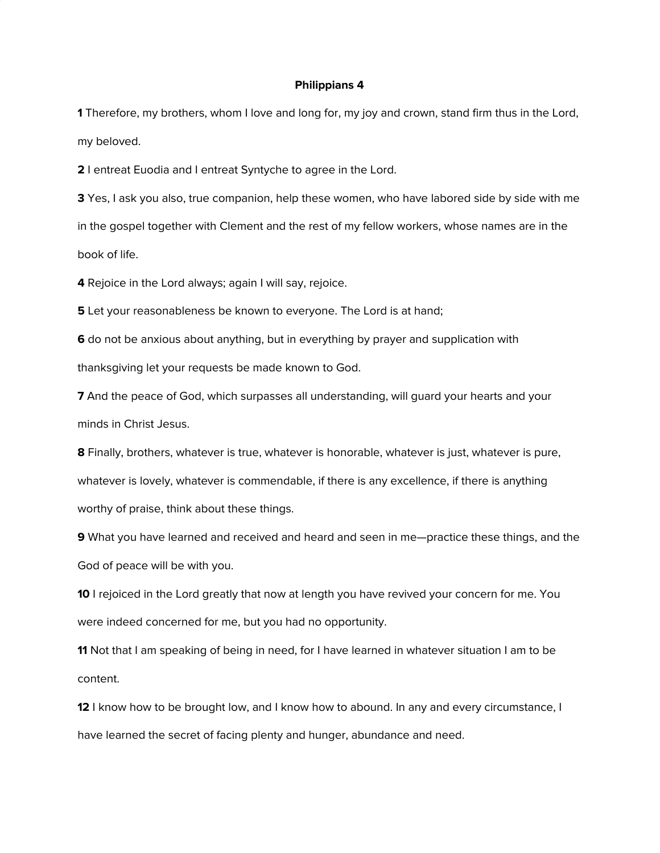## **Philippians 4**

**1** Therefore, my brothers, whom I love and long for, my joy and crown, stand firm thus in the Lord, my beloved.

**2** I entreat Euodia and I entreat Syntyche to agree in the Lord.

**3** Yes, I ask you also, true companion, help these women, who have labored side by side with me in the gospel together with Clement and the rest of my fellow workers, whose names are in the book of life.

**4** Rejoice in the Lord always; again I will say, rejoice.

**5** Let your reasonableness be known to everyone. The Lord is at hand;

**6** do not be anxious about anything, but in everything by prayer and supplication with thanksgiving let your requests be made known to God.

**7** And the peace of God, which surpasses all understanding, will guard your hearts and your minds in Christ Jesus.

**8** Finally, brothers, whatever is true, whatever is honorable, whatever is just, whatever is pure, whatever is lovely, whatever is commendable, if there is any excellence, if there is anything worthy of praise, think about these things.

**9** What you have learned and received and heard and seen in me—practice these things, and the God of peace will be with you.

**10** I rejoiced in the Lord greatly that now at length you have revived your concern for me. You were indeed concerned for me, but you had no opportunity.

**11** Not that I am speaking of being in need, for I have learned in whatever situation I am to be content.

**12** I know how to be brought low, and I know how to abound. In any and every circumstance, I have learned the secret of facing plenty and hunger, abundance and need.